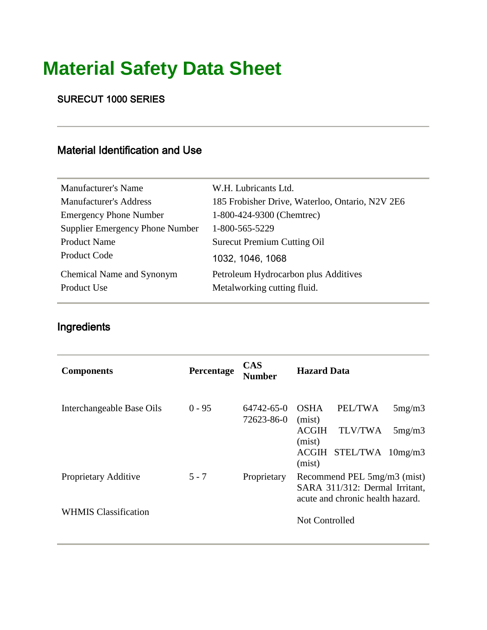# **Material Safety Data Sheet**

SURECUT 1000 SERIES

#### Material Identification and Use

| <b>Manufacturer's Name</b>               | W.H. Lubricants Ltd.                                                |
|------------------------------------------|---------------------------------------------------------------------|
| <b>Manufacturer's Address</b>            | 185 Frobisher Drive, Waterloo, Ontario, N2V 2E6                     |
| <b>Emergency Phone Number</b>            | 1-800-424-9300 (Chemtrec)                                           |
| Supplier Emergency Phone Number          | 1-800-565-5229                                                      |
| <b>Product Name</b>                      | <b>Surecut Premium Cutting Oil</b>                                  |
| Product Code                             | 1032, 1046, 1068                                                    |
| Chemical Name and Synonym<br>Product Use | Petroleum Hydrocarbon plus Additives<br>Metalworking cutting fluid. |

### Ingredients

| <b>Components</b>           | Percentage | <b>CAS</b><br>Number     | <b>Hazard Data</b>                                                                                |  |
|-----------------------------|------------|--------------------------|---------------------------------------------------------------------------------------------------|--|
| Interchangeable Base Oils   | $0 - 95$   | 64742-65-0<br>72623-86-0 | PEL/TWA<br><b>OSHA</b><br>5mg/m3<br>(mist)<br><b>ACGIH</b><br><b>TLV/TWA</b><br>5mg/m3            |  |
|                             |            |                          | (mist)<br>STEL/TWA<br>ACGIH<br>10mg/m3<br>(mist)                                                  |  |
| Proprietary Additive        | $5 - 7$    | Proprietary              | Recommend PEL 5mg/m3 (mist)<br>SARA 311/312: Dermal Irritant,<br>acute and chronic health hazard. |  |
| <b>WHMIS Classification</b> |            |                          | Not Controlled                                                                                    |  |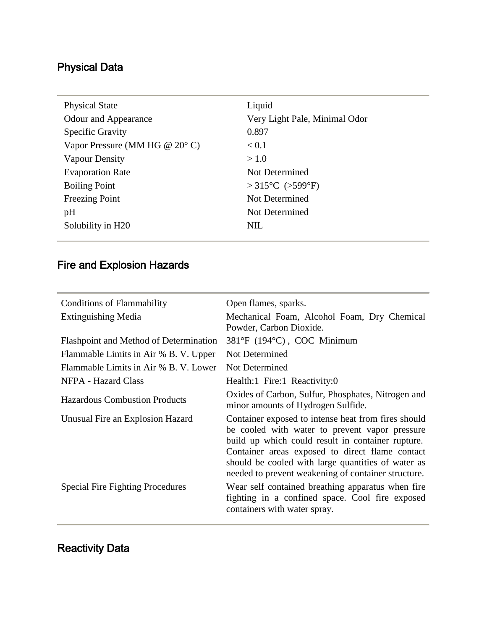# Physical Data

| Liquid                               |
|--------------------------------------|
| Very Light Pale, Minimal Odor        |
| 0.897                                |
| < 0.1                                |
| >1.0                                 |
| Not Determined                       |
| $>315^{\circ}$ C ( $>599^{\circ}$ F) |
| Not Determined                       |
| Not Determined                       |
| NIL                                  |
|                                      |

## Fire and Explosion Hazards

| <b>Conditions of Flammability</b>       | Open flames, sparks.                                                                                                                                                                                                                                                                                                       |
|-----------------------------------------|----------------------------------------------------------------------------------------------------------------------------------------------------------------------------------------------------------------------------------------------------------------------------------------------------------------------------|
| <b>Extinguishing Media</b>              | Mechanical Foam, Alcohol Foam, Dry Chemical<br>Powder, Carbon Dioxide.                                                                                                                                                                                                                                                     |
| Flashpoint and Method of Determination  | 381°F (194°C), COC Minimum                                                                                                                                                                                                                                                                                                 |
| Flammable Limits in Air % B. V. Upper   | Not Determined                                                                                                                                                                                                                                                                                                             |
| Flammable Limits in Air % B. V. Lower   | Not Determined                                                                                                                                                                                                                                                                                                             |
| NFPA - Hazard Class                     | Health:1 Fire:1 Reactivity:0                                                                                                                                                                                                                                                                                               |
| <b>Hazardous Combustion Products</b>    | Oxides of Carbon, Sulfur, Phosphates, Nitrogen and<br>minor amounts of Hydrogen Sulfide.                                                                                                                                                                                                                                   |
| Unusual Fire an Explosion Hazard        | Container exposed to intense heat from fires should<br>be cooled with water to prevent vapor pressure<br>build up which could result in container rupture.<br>Container areas exposed to direct flame contact<br>should be cooled with large quantities of water as<br>needed to prevent weakening of container structure. |
| <b>Special Fire Fighting Procedures</b> | Wear self contained breathing apparatus when fire<br>fighting in a confined space. Cool fire exposed<br>containers with water spray.                                                                                                                                                                                       |

# Reactivity Data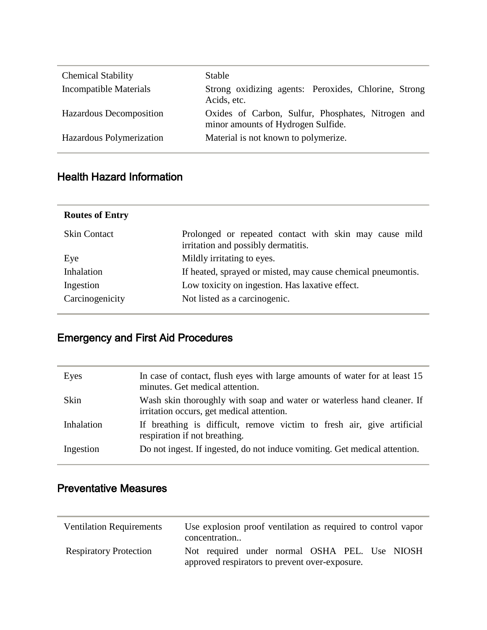| <b>Chemical Stability</b> | Stable                                                                                   |
|---------------------------|------------------------------------------------------------------------------------------|
| Incompatible Materials    | Strong oxidizing agents: Peroxides, Chlorine, Strong<br>Acids, etc.                      |
| Hazardous Decomposition   | Oxides of Carbon, Sulfur, Phosphates, Nitrogen and<br>minor amounts of Hydrogen Sulfide. |
| Hazardous Polymerization  | Material is not known to polymerize.                                                     |

#### Health Hazard Information

| <b>Routes of Entry</b> |                                                                                               |
|------------------------|-----------------------------------------------------------------------------------------------|
| <b>Skin Contact</b>    | Prolonged or repeated contact with skin may cause mild<br>irritation and possibly dermatitis. |
| Eye                    | Mildly irritating to eyes.                                                                    |
| Inhalation             | If heated, sprayed or misted, may cause chemical pneumontis.                                  |
| Ingestion              | Low toxicity on ingestion. Has laxative effect.                                               |
| Carcinogenicity        | Not listed as a carcinogenic.                                                                 |

## Emergency and First Aid Procedures

| Eyes       | In case of contact, flush eyes with large amounts of water for at least 15<br>minutes. Get medical attention.       |
|------------|---------------------------------------------------------------------------------------------------------------------|
| Skin       | Wash skin thoroughly with soap and water or waterless hand cleaner. If<br>irritation occurs, get medical attention. |
| Inhalation | If breathing is difficult, remove victim to fresh air, give artificial<br>respiration if not breathing.             |
| Ingestion  | Do not ingest. If ingested, do not induce vomiting. Get medical attention.                                          |

## Preventative Measures

| <b>Ventilation Requirements</b> | Use explosion proof ventilation as required to control vapor<br>concentration                   |
|---------------------------------|-------------------------------------------------------------------------------------------------|
| <b>Respiratory Protection</b>   | Not required under normal OSHA PEL. Use NIOSH<br>approved respirators to prevent over-exposure. |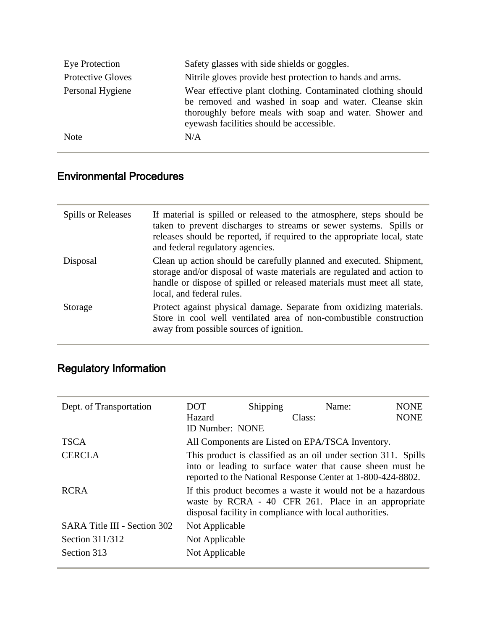| Eye Protection           | Safety glasses with side shields or goggles.                                                                                                                                                                                |
|--------------------------|-----------------------------------------------------------------------------------------------------------------------------------------------------------------------------------------------------------------------------|
| <b>Protective Gloves</b> | Nitrile gloves provide best protection to hands and arms.                                                                                                                                                                   |
| Personal Hygiene         | Wear effective plant clothing. Contaminated clothing should<br>be removed and washed in soap and water. Cleanse skin<br>thoroughly before meals with soap and water. Shower and<br>eyewash facilities should be accessible. |
| <b>Note</b>              | N/A                                                                                                                                                                                                                         |

### Environmental Procedures

| Spills or Releases | If material is spilled or released to the atmosphere, steps should be<br>taken to prevent discharges to streams or sewer systems. Spills or<br>releases should be reported, if required to the appropriate local, state<br>and federal regulatory agencies. |
|--------------------|-------------------------------------------------------------------------------------------------------------------------------------------------------------------------------------------------------------------------------------------------------------|
| Disposal           | Clean up action should be carefully planned and executed. Shipment,<br>storage and/or disposal of waste materials are regulated and action to<br>handle or dispose of spilled or released materials must meet all state,<br>local, and federal rules.       |
| Storage            | Protect against physical damage. Separate from oxidizing materials.<br>Store in cool well ventilated area of non-combustible construction<br>away from possible sources of ignition.                                                                        |

# Regulatory Information

| Dept. of Transportation      | DOT                                                                                                                                                                                        | Shipping | Name:  | <b>NONE</b> |
|------------------------------|--------------------------------------------------------------------------------------------------------------------------------------------------------------------------------------------|----------|--------|-------------|
|                              | Hazard                                                                                                                                                                                     |          | Class: | <b>NONE</b> |
|                              | <b>ID Number: NONE</b>                                                                                                                                                                     |          |        |             |
| <b>TSCA</b>                  | All Components are Listed on EPA/TSCA Inventory.                                                                                                                                           |          |        |             |
| <b>CERCLA</b>                | This product is classified as an oil under section 311. Spills<br>into or leading to surface water that cause sheen must be<br>reported to the National Response Center at 1-800-424-8802. |          |        |             |
| <b>RCRA</b>                  | If this product becomes a waste it would not be a hazardous<br>waste by RCRA - 40 CFR 261. Place in an appropriate<br>disposal facility in compliance with local authorities.              |          |        |             |
| SARA Title III - Section 302 | Not Applicable                                                                                                                                                                             |          |        |             |
| Section 311/312              | Not Applicable                                                                                                                                                                             |          |        |             |
| Section 313                  | Not Applicable                                                                                                                                                                             |          |        |             |